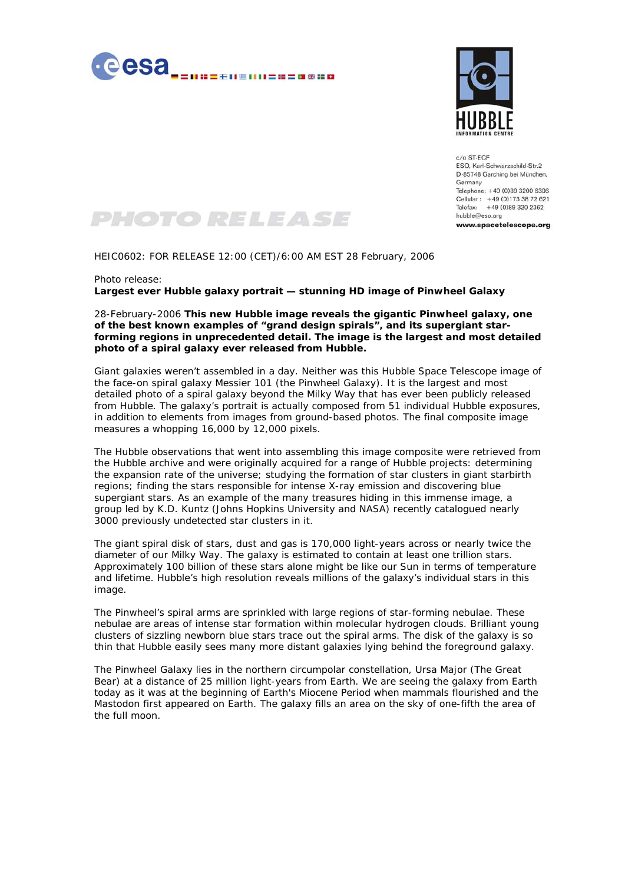



c/o ST-ECF ESO, Karl-Schwarzschild-Str.2 D-85748 Garching bei München, Germany Telephone: +49 (0)89 3200 6306 Cellular: +49 (0)173 38 72 621 Telefax: +49 (0)89 320 2362 hubble@eso.org www.spacetelescope.org



HEIC0602: FOR RELEASE 12:00 (CET)/6:00 AM EST 28 February, 2006

Photo release:

**Largest ever Hubble galaxy portrait — stunning HD image of Pinwheel Galaxy** 

28-February-2006 **This new Hubble image reveals the gigantic Pinwheel galaxy, one of the best known examples of "grand design spirals", and its supergiant starforming regions in unprecedented detail. The image is the largest and most detailed photo of a spiral galaxy ever released from Hubble.**

Giant galaxies weren't assembled in a day. Neither was this Hubble Space Telescope image of the face-on spiral galaxy Messier 101 (the Pinwheel Galaxy). It is the largest and most detailed photo of a spiral galaxy beyond the Milky Way that has ever been publicly released from Hubble. The galaxy's portrait is actually composed from 51 individual Hubble exposures, in addition to elements from images from ground-based photos. The final composite image measures a whopping 16,000 by 12,000 pixels.

The Hubble observations that went into assembling this image composite were retrieved from the Hubble archive and were originally acquired for a range of Hubble projects: determining the expansion rate of the universe; studying the formation of star clusters in giant starbirth regions; finding the stars responsible for intense X-ray emission and discovering blue supergiant stars. As an example of the many treasures hiding in this immense image, a group led by K.D. Kuntz (Johns Hopkins University and NASA) recently catalogued nearly 3000 previously undetected star clusters in it.

The giant spiral disk of stars, dust and gas is 170,000 light-years across or nearly twice the diameter of our Milky Way. The galaxy is estimated to contain at least one trillion stars. Approximately 100 billion of these stars alone might be like our Sun in terms of temperature and lifetime. Hubble's high resolution reveals millions of the galaxy's individual stars in this image.

The Pinwheel's spiral arms are sprinkled with large regions of star-forming nebulae. These nebulae are areas of intense star formation within molecular hydrogen clouds. Brilliant young clusters of sizzling newborn blue stars trace out the spiral arms. The disk of the galaxy is so thin that Hubble easily sees many more distant galaxies lying behind the foreground galaxy.

The Pinwheel Galaxy lies in the northern circumpolar constellation, Ursa Major (The Great Bear) at a distance of 25 million light-years from Earth. We are seeing the galaxy from Earth today as it was at the beginning of Earth's Miocene Period when mammals flourished and the Mastodon first appeared on Earth. The galaxy fills an area on the sky of one-fifth the area of the full moon.